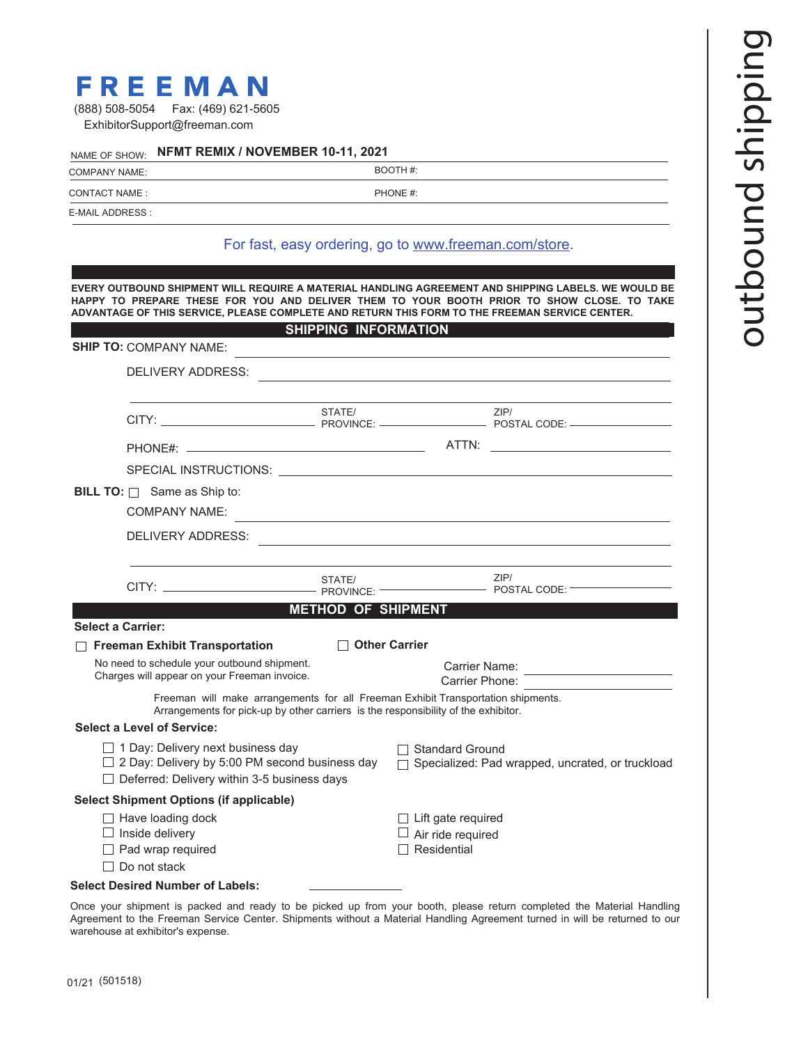# **FREEMAN**

| (888) 508-5054 | Fax: (469) 621-5605          |
|----------------|------------------------------|
|                | ExhibitorSupport@freeman.com |

### NAME OF SHOW: **NFMT REMIX / NOVEMBER 10-11, 2021**

COMPANY NAME: BOOTH #:

E-MAIL ADDRESS :

CONTACT NAME : PHONE #:

#### For fast, easy ordering, go to www.freeman.com/store.

**EVERY OUTBOUND SHIPMENT WILL REQUIRE A MATERIAL HANDLING AGREEMENT AND SHIPPING LABELS. WE WOULD BE HAPPY TO PREPARE THESE FOR YOU AND DELIVER THEM TO YOUR BOOTH PRIOR TO SHOW CLOSE. TO TAKE ADVANTAGE OF THIS SERVICE, PLEASE COMPLETE AND RETURN THIS FORM TO THE FREEMAN SERVICE CENTER. SHIPPING INFORMATION**

| <b>SHIP TO: COMPANY NAME:</b>                                                                                                                      |                                                                                                                                                                        | SHIPPING INFORMATION                                                        |  | <u> 1989 - Johann Stoff, Amerikaansk politiker († 1908)</u>                                                                                                                                                                                    |
|----------------------------------------------------------------------------------------------------------------------------------------------------|------------------------------------------------------------------------------------------------------------------------------------------------------------------------|-----------------------------------------------------------------------------|--|------------------------------------------------------------------------------------------------------------------------------------------------------------------------------------------------------------------------------------------------|
|                                                                                                                                                    | DELIVERY ADDRESS:                                                                                                                                                      |                                                                             |  | and the control of the control of the control of the control of the control of the control of the control of the                                                                                                                               |
|                                                                                                                                                    |                                                                                                                                                                        |                                                                             |  |                                                                                                                                                                                                                                                |
|                                                                                                                                                    |                                                                                                                                                                        |                                                                             |  |                                                                                                                                                                                                                                                |
|                                                                                                                                                    |                                                                                                                                                                        |                                                                             |  |                                                                                                                                                                                                                                                |
|                                                                                                                                                    | <b>BILL TO:</b> $\Box$ Same as Ship to:<br><b>COMPANY NAME:</b>                                                                                                        |                                                                             |  |                                                                                                                                                                                                                                                |
|                                                                                                                                                    | DELIVERY ADDRESS:                                                                                                                                                      |                                                                             |  | and the control of the control of the control of the control of the control of the control of the control of the                                                                                                                               |
|                                                                                                                                                    |                                                                                                                                                                        |                                                                             |  |                                                                                                                                                                                                                                                |
|                                                                                                                                                    |                                                                                                                                                                        |                                                                             |  | ZIP/<br><u>De Carlier de Carlier de Carlier de Carlier de Carlier de Carlier de Carlier de Carlier de Carlier de Carlier d</u><br>De Carlier de Carlier de Carlier de Carlier de Carlier de Carlier de Carlier de Carlier de Carlier de Carlie |
|                                                                                                                                                    |                                                                                                                                                                        | <b>METHOD OF SHIPMENT</b>                                                   |  |                                                                                                                                                                                                                                                |
| <b>Select a Carrier:</b>                                                                                                                           |                                                                                                                                                                        |                                                                             |  |                                                                                                                                                                                                                                                |
|                                                                                                                                                    | $\Box$ Freeman Exhibit Transportation                                                                                                                                  | $\Box$ Other Carrier                                                        |  |                                                                                                                                                                                                                                                |
| No need to schedule your outbound shipment.<br>Charges will appear on your Freeman invoice.                                                        |                                                                                                                                                                        | Carrier Name: <u>________________________</u><br>Carrier Phone:             |  |                                                                                                                                                                                                                                                |
|                                                                                                                                                    | Freeman will make arrangements for all Freeman Exhibit Transportation shipments.<br>Arrangements for pick-up by other carriers is the responsibility of the exhibitor. |                                                                             |  |                                                                                                                                                                                                                                                |
| <b>Select a Level of Service:</b>                                                                                                                  |                                                                                                                                                                        |                                                                             |  |                                                                                                                                                                                                                                                |
| $\Box$ 1 Day: Delivery next business day<br>$\Box$ 2 Day: Delivery by 5:00 PM second business day<br>□ Deferred: Delivery within 3-5 business days |                                                                                                                                                                        | □ Standard Ground<br>□ Specialized: Pad wrapped, uncrated, or truckload     |  |                                                                                                                                                                                                                                                |
|                                                                                                                                                    | <b>Select Shipment Options (if applicable)</b>                                                                                                                         |                                                                             |  |                                                                                                                                                                                                                                                |
| $\Box$ Have loading dock<br>$\Box$ Inside delivery<br>$\Box$ Pad wrap required<br>$\Box$ Do not stack                                              |                                                                                                                                                                        | $\Box$ Lift gate required<br>$\Box$ Air ride required<br>$\Box$ Residential |  |                                                                                                                                                                                                                                                |
|                                                                                                                                                    | <b>Select Desired Number of Labels:</b>                                                                                                                                |                                                                             |  |                                                                                                                                                                                                                                                |
|                                                                                                                                                    |                                                                                                                                                                        |                                                                             |  | Once vour shipment is packed and ready to be picked up from your booth, please return completed the Material Handling                                                                                                                          |

Once your shipment is packed and ready to be picked up from your booth, please return completed the Material Handling Agreement to the Freeman Service Center. Shipments without a Material Handling Agreement turned in will be returned to our warehouse at exhibitor's expense.